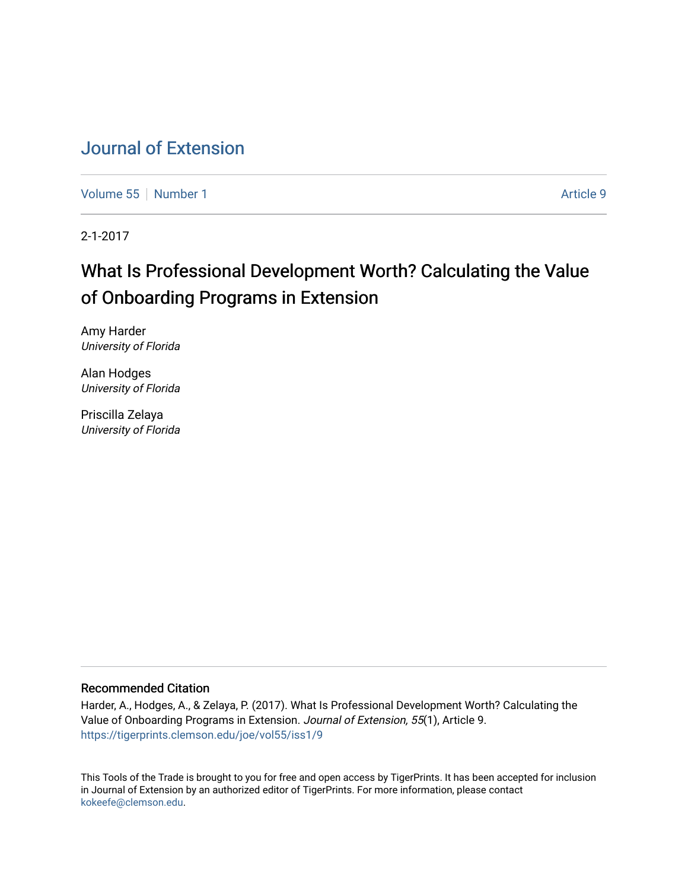# [Journal of Extension](https://tigerprints.clemson.edu/joe)

[Volume 55](https://tigerprints.clemson.edu/joe/vol55) [Number 1](https://tigerprints.clemson.edu/joe/vol55/iss1) Article 9

2-1-2017

# What Is Professional Development Worth? Calculating the Value of Onboarding Programs in Extension

Amy Harder University of Florida

Alan Hodges University of Florida

Priscilla Zelaya University of Florida

### Recommended Citation

Harder, A., Hodges, A., & Zelaya, P. (2017). What Is Professional Development Worth? Calculating the Value of Onboarding Programs in Extension. Journal of Extension, 55(1), Article 9. <https://tigerprints.clemson.edu/joe/vol55/iss1/9>

This Tools of the Trade is brought to you for free and open access by TigerPrints. It has been accepted for inclusion in Journal of Extension by an authorized editor of TigerPrints. For more information, please contact [kokeefe@clemson.edu](mailto:kokeefe@clemson.edu).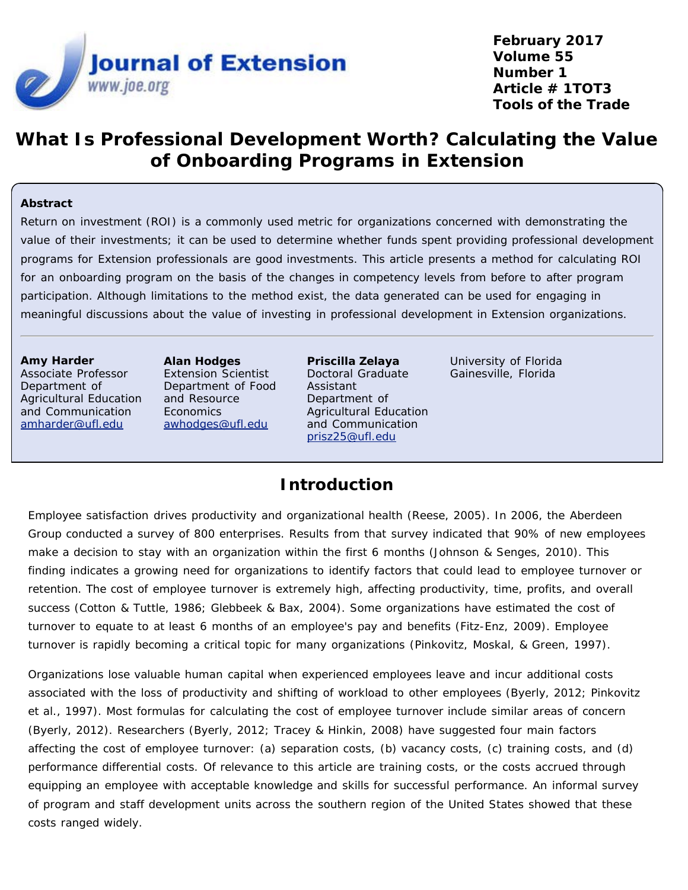

**February 2017 Volume 55 Number 1 Article # 1TOT3 Tools of the Trade**

# **What Is Professional Development Worth? Calculating the Value of Onboarding Programs in Extension**

### **Abstract**

Return on investment (ROI) is a commonly used metric for organizations concerned with demonstrating the value of their investments; it can be used to determine whether funds spent providing professional development programs for Extension professionals are good investments. This article presents a method for calculating ROI for an onboarding program on the basis of the changes in competency levels from before to after program participation. Although limitations to the method exist, the data generated can be used for engaging in meaningful discussions about the value of investing in professional development in Extension organizations.

#### **Amy Harder**

Associate Professor Department of Agricultural Education and Communication [amharder@ufl.edu](mailto:amharder@ufl.edu)

**Alan Hodges** Extension Scientist Department of Food and Resource **Economics** [awhodges@ufl.edu](mailto:awhodges@ufl.edu)

**Priscilla Zelaya** Doctoral Graduate Assistant Department of Agricultural Education and Communication [prisz25@ufl.edu](mailto:prisz25@ufl.edu)

University of Florida Gainesville, Florida

### **Introduction**

Employee satisfaction drives productivity and organizational health (Reese, 2005). In 2006, the Aberdeen Group conducted a survey of 800 enterprises. Results from that survey indicated that 90% of new employees make a decision to stay with an organization within the first 6 months (Johnson & Senges, 2010). This finding indicates a growing need for organizations to identify factors that could lead to employee turnover or retention. The cost of employee turnover is extremely high, affecting productivity, time, profits, and overall success (Cotton & Tuttle, 1986; Glebbeek & Bax, 2004). Some organizations have estimated the cost of turnover to equate to at least 6 months of an employee's pay and benefits (Fitz-Enz, 2009). Employee turnover is rapidly becoming a critical topic for many organizations (Pinkovitz, Moskal, & Green, 1997).

Organizations lose valuable human capital when experienced employees leave and incur additional costs associated with the loss of productivity and shifting of workload to other employees (Byerly, 2012; Pinkovitz et al., 1997). Most formulas for calculating the cost of employee turnover include similar areas of concern (Byerly, 2012). Researchers (Byerly, 2012; Tracey & Hinkin, 2008) have suggested four main factors affecting the cost of employee turnover: (a) separation costs, (b) vacancy costs, (c) training costs, and (d) performance differential costs. Of relevance to this article are training costs, or the costs accrued through equipping an employee with acceptable knowledge and skills for successful performance. An informal survey of program and staff development units across the southern region of the United States showed that these costs ranged widely.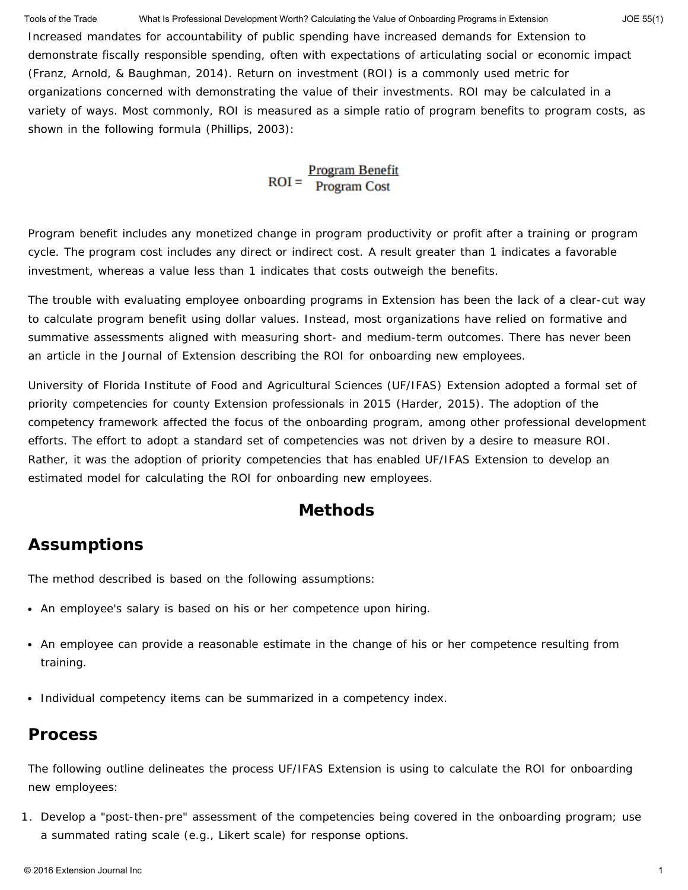Increased mandates for accountability of public spending have increased demands for Extension to demonstrate fiscally responsible spending, often with expectations of articulating social or economic impact (Franz, Arnold, & Baughman, 2014). Return on investment (ROI) is a commonly used metric for organizations concerned with demonstrating the value of their investments. ROI may be calculated in a variety of ways. Most commonly, ROI is measured as a simple ratio of program benefits to program costs, as shown in the following formula (Phillips, 2003): Tools of the Trade What Is Professional Development Worth? Calculating the Value of Onboarding Programs in Extension JOE 55(1)

# $ROI = \frac{Program Benefit}{Program Cost}$

Program benefit includes any monetized change in program productivity or profit after a training or program cycle. The program cost includes any direct or indirect cost. A result greater than 1 indicates a favorable investment, whereas a value less than 1 indicates that costs outweigh the benefits.

The trouble with evaluating employee onboarding programs in Extension has been the lack of a clear-cut way to calculate program benefit using dollar values. Instead, most organizations have relied on formative and summative assessments aligned with measuring short- and medium-term outcomes. There has never been an article in the *Journal of Extension* describing the ROI for onboarding new employees.

University of Florida Institute of Food and Agricultural Sciences (UF/IFAS) Extension adopted a formal set of priority competencies for county Extension professionals in 2015 (Harder, 2015). The adoption of the competency framework affected the focus of the onboarding program, among other professional development efforts. The effort to adopt a standard set of competencies was not driven by a desire to measure ROI. Rather, it was the adoption of priority competencies that has enabled UF/IFAS Extension to develop an estimated model for calculating the ROI for onboarding new employees.

### **Methods**

## **Assumptions**

The method described is based on the following assumptions:

- An employee's salary is based on his or her competence upon hiring.
- An employee can provide a reasonable estimate in the change of his or her competence resulting from training.
- Individual competency items can be summarized in a competency index.

### **Process**

The following outline delineates the process UF/IFAS Extension is using to calculate the ROI for onboarding new employees:

1. Develop a "post-then-pre" assessment of the competencies being covered in the onboarding program; use a summated rating scale (e.g., Likert scale) for response options.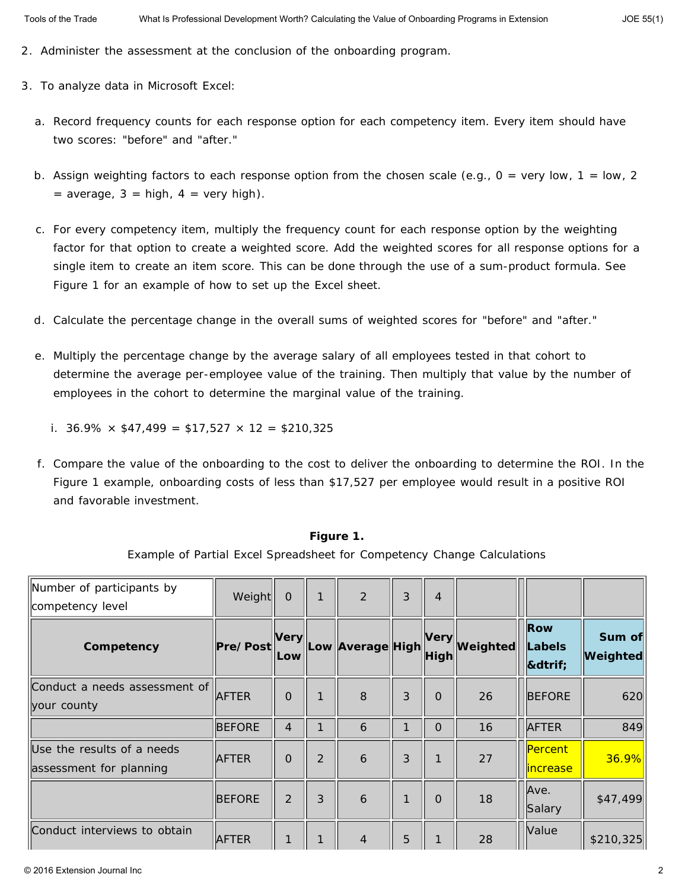- 2. Administer the assessment at the conclusion of the onboarding program.
- 3. To analyze data in Microsoft Excel:
	- a. Record frequency counts for each response option for each competency item. Every item should have two scores: "before" and "after."
	- b. Assign weighting factors to each response option from the chosen scale (e.g., 0 = *very low*, 1 = *low*, 2 = *average*, 3 = *high*, 4 = *very high*).
	- c. For every competency item, multiply the frequency count for each response option by the weighting factor for that option to create a weighted score. Add the weighted scores for all response options for a single item to create an item score. This can be done through the use of a sum-product formula. See Figure 1 for an example of how to set up the Excel sheet.
	- d. Calculate the percentage change in the overall sums of weighted scores for "before" and "after."
	- e. Multiply the percentage change by the *average* salary of all employees tested in that cohort to determine the average per-employee value of the training. Then multiply that value by the number of employees in the cohort to determine the marginal value of the training.
		- i.  $36.9\% \times $47,499 = $17,527 \times 12 = $210,325$
	- f. Compare the value of the onboarding to the cost to deliver the onboarding to determine the ROI. In the Figure 1 example, onboarding costs of less than \$17,527 per employee would result in a positive ROI and favorable investment.

| Number of participants by<br>competency level         | Weight        | $\Omega$           | 1              | 2                | 3 | $\overline{4}$      |          |                             |                    |
|-------------------------------------------------------|---------------|--------------------|----------------|------------------|---|---------------------|----------|-----------------------------|--------------------|
| Competency                                            | Pre/Post      | <b>Very</b><br>Low |                | Low Average High |   | <b>Very</b><br>High | Weighted | Row<br>Labels<br>▾          | Sum of<br>Weighted |
| Conduct a needs assessment of<br>your county          | <b>AFTER</b>  | $\Omega$           | 1              | 8                | 3 | $\Omega$            | 26       | <b>BEFORE</b>               | 620                |
|                                                       | <b>BEFORE</b> | 4                  |                | 6                |   | $\Omega$            | 16       | <b>AFTER</b>                | 849                |
| Use the results of a needs<br>assessment for planning | <b>AFTER</b>  | $\overline{0}$     | $\overline{2}$ | 6                | 3 | $\mathbf{1}$        | 27       | Percent<br><u>lincrease</u> | 36.9%              |
|                                                       | <b>BEFORE</b> | $\overline{2}$     | 3              | 6                |   | $\Omega$            | 18       | Ave.<br>Salary              | \$47,499           |
| Conduct interviews to obtain                          | <b>AFTER</b>  |                    |                | $\overline{4}$   | 5 |                     | 28       | Value                       | \$210,325          |

**Figure 1.** Example of Partial Excel Spreadsheet for Competency Change Calculations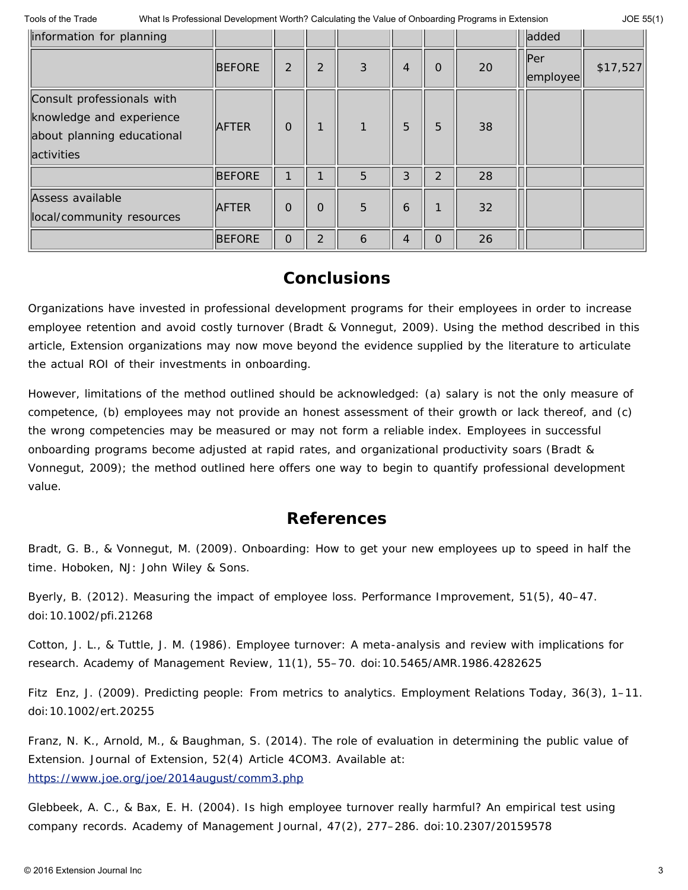| information for planning                                                                                  |               |                |                |   |   |                |    | added                       |          |
|-----------------------------------------------------------------------------------------------------------|---------------|----------------|----------------|---|---|----------------|----|-----------------------------|----------|
|                                                                                                           | <b>BEFORE</b> | $\overline{2}$ | 2              | 3 | 4 | $\Omega$       | 20 | $\parallel$ Per<br>employee | \$17,527 |
| Consult professionals with<br>knowledge and experience<br>about planning educational<br><b>activities</b> | <b>AFTER</b>  | $\Omega$       |                | 1 | 5 | 5              | 38 |                             |          |
|                                                                                                           | <b>BEFORE</b> |                |                | 5 | 3 | $\overline{2}$ | 28 |                             |          |
| Assess available<br>local/community resources                                                             | <b>AFTER</b>  | $\Omega$       | $\Omega$       | 5 | 6 |                | 32 |                             |          |
|                                                                                                           | <b>BEFORE</b> | $\Omega$       | $\overline{2}$ | 6 | 4 | $\Omega$       | 26 |                             |          |

## **Conclusions**

Organizations have invested in professional development programs for their employees in order to increase employee retention and avoid costly turnover (Bradt & Vonnegut, 2009). Using the method described in this article, Extension organizations may now move beyond the evidence supplied by the literature to articulate the actual ROI of their investments in onboarding.

However, limitations of the method outlined should be acknowledged: (a) salary is not the only measure of competence, (b) employees may not provide an honest assessment of their growth or lack thereof, and (c) the wrong competencies may be measured or may not form a reliable index. Employees in successful onboarding programs become adjusted at rapid rates, and organizational productivity soars (Bradt & Vonnegut, 2009); the method outlined here offers one way to begin to quantify professional development value.

### **References**

Bradt, G. B., & Vonnegut, M. (2009). *Onboarding: How to get your new employees up to speed in half the time*. Hoboken, NJ: John Wiley & Sons.

Byerly, B. (2012). Measuring the impact of employee loss. *Performance Improvement*, *51*(5), 40–47. doi:10.1002/pfi.21268

Cotton, J. L., & Tuttle, J. M. (1986). Employee turnover: A meta-analysis and review with implications for research. *Academy of Management Review*, *11*(1), 55–70. doi:10.5465/AMR.1986.4282625

Fitz Enz, J. (2009). Predicting people: From metrics to analytics. *Employment Relations Today*, *36*(3), 1–11. doi:10.1002/ert.20255

Franz, N. K., Arnold, M., & Baughman, S. (2014). The role of evaluation in determining the public value of Extension. *Journal of Extension*, *52*(4) Article 4COM3. Available at: <https://www.joe.org/joe/2014august/comm3.php>

Glebbeek, A. C., & Bax, E. H. (2004). Is high employee turnover really harmful? An empirical test using company records. *Academy of Management Journal*, *47*(2), 277–286. doi:10.2307/20159578